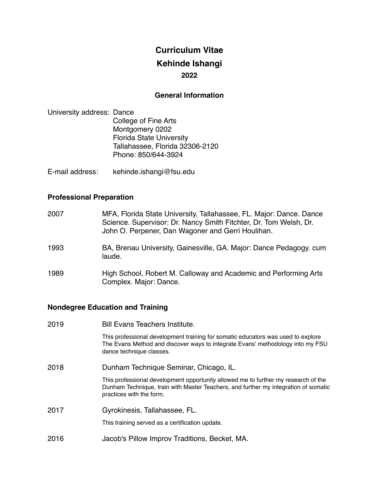# **Curriculum Vitae Kehinde Ishangi 2022**

### **General Information**

- University address: Dance College of Fine Arts Montgomery 0202 Florida State University Tallahassee, Florida 32306-2120 Phone: 850/644-3924
- E-mail address: kehinde.ishangi@fsu.edu

## **Professional Preparation**

| 2007 | MFA, Florida State University, Tallahassee, FL. Major: Dance. Dance<br>Science. Supervisor: Dr. Nancy Smith Fitchter, Dr. Tom Welsh, Dr.<br>John O. Perpener, Dan Wagoner and Gerri Houlihan. |
|------|-----------------------------------------------------------------------------------------------------------------------------------------------------------------------------------------------|
| 1993 | BA, Brenau University, Gainesville, GA. Major: Dance Pedagogy. cum<br>laude.                                                                                                                  |
| 1989 | High School, Robert M. Calloway and Academic and Performing Arts<br>Complex. Major: Dance.                                                                                                    |

# **Nondegree Education and Training**

| 2019 | <b>Bill Evans Teachers Institute.</b>                                                                                                                                                                 |
|------|-------------------------------------------------------------------------------------------------------------------------------------------------------------------------------------------------------|
|      | This professional development training for somatic educators was used to explore<br>The Evans Method and discover ways to integrate Evans' methodology into my FSU<br>dance technique classes.        |
| 2018 | Dunham Technique Seminar, Chicago, IL.                                                                                                                                                                |
|      | This professional development opportunity allowed me to further my research of the<br>Dunham Technique, train with Master Teachers, and further my integration of somatic<br>practices with the form. |
| 2017 | Gyrokinesis, Tallahassee, FL.                                                                                                                                                                         |
|      | This training served as a certification update.                                                                                                                                                       |
| 2016 | Jacob's Pillow Improv Traditions, Becket, MA.                                                                                                                                                         |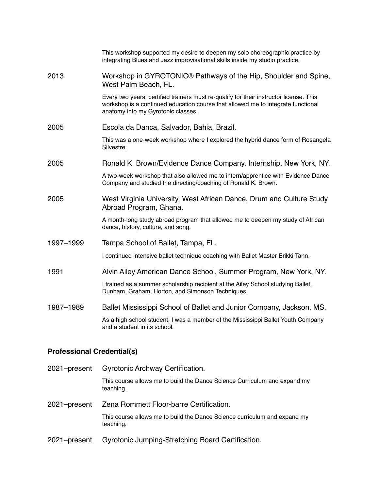|           | This workshop supported my desire to deepen my solo choreographic practice by<br>integrating Blues and Jazz improvisational skills inside my studio practice.                                                    |
|-----------|------------------------------------------------------------------------------------------------------------------------------------------------------------------------------------------------------------------|
| 2013      | Workshop in GYROTONIC <sup>®</sup> Pathways of the Hip, Shoulder and Spine,<br>West Palm Beach, FL.                                                                                                              |
|           | Every two years, certified trainers must re-qualify for their instructor license. This<br>workshop is a continued education course that allowed me to integrate functional<br>anatomy into my Gyrotonic classes. |
| 2005      | Escola da Danca, Salvador, Bahia, Brazil.                                                                                                                                                                        |
|           | This was a one-week workshop where I explored the hybrid dance form of Rosangela<br>Silvestre.                                                                                                                   |
| 2005      | Ronald K. Brown/Evidence Dance Company, Internship, New York, NY.                                                                                                                                                |
|           | A two-week workshop that also allowed me to intern/apprentice with Evidence Dance<br>Company and studied the directing/coaching of Ronald K. Brown.                                                              |
| 2005      | West Virginia University, West African Dance, Drum and Culture Study<br>Abroad Program, Ghana.                                                                                                                   |
|           | A month-long study abroad program that allowed me to deepen my study of African<br>dance, history, culture, and song.                                                                                            |
| 1997-1999 | Tampa School of Ballet, Tampa, FL.                                                                                                                                                                               |
|           | I continued intensive ballet technique coaching with Ballet Master Erikki Tann.                                                                                                                                  |
| 1991      | Alvin Ailey American Dance School, Summer Program, New York, NY.                                                                                                                                                 |
|           | I trained as a summer scholarship recipient at the Ailey School studying Ballet,<br>Dunham, Graham, Horton, and Simonson Techniques.                                                                             |
| 1987-1989 | Ballet Mississippi School of Ballet and Junior Company, Jackson, MS.                                                                                                                                             |
|           | As a high school student, I was a member of the Mississippi Ballet Youth Company<br>and a student in its school.                                                                                                 |
|           |                                                                                                                                                                                                                  |

# **Professional Credential(s)**

| 2021-present | <b>Gyrotonic Archway Certification.</b>                                                |
|--------------|----------------------------------------------------------------------------------------|
|              | This course allows me to build the Dance Science Curriculum and expand my<br>teaching. |
| 2021-present | Zena Rommett Floor-barre Certification.                                                |
|              | This course allows me to build the Dance Science curriculum and expand my<br>teaching. |
| 2021-present | Gyrotonic Jumping-Stretching Board Certification.                                      |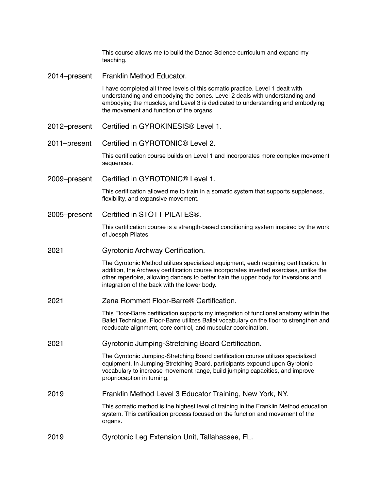This course allows me to build the Dance Science curriculum and expand my teaching.

2014–present Franklin Method Educator.

I have completed all three levels of this somatic practice. Level 1 dealt with understanding and embodying the bones. Level 2 deals with understanding and embodying the muscles, and Level 3 is dedicated to understanding and embodying the movement and function of the organs.

- 2012–present Certified in GYROKINESIS® Level 1.
- 2011–present Certified in GYROTONIC® Level 2.

This certification course builds on Level 1 and incorporates more complex movement sequences.

2009–present Certified in GYROTONIC® Level 1.

This certification allowed me to train in a somatic system that supports suppleness, flexibility, and expansive movement.

2005–present Certified in STOTT PILATES®.

This certification course is a strength-based conditioning system inspired by the work of Joesph Pilates.

2021 Gyrotonic Archway Certification.

The Gyrotonic Method utilizes specialized equipment, each requiring certification. In addition, the Archway certification course incorporates inverted exercises, unlike the other repertoire, allowing dancers to better train the upper body for inversions and integration of the back with the lower body.

2021 Zena Rommett Floor-Barre® Certification.

This Floor-Barre certification supports my integration of functional anatomy within the Ballet Technique. Floor-Barre utilizes Ballet vocabulary on the floor to strengthen and reeducate alignment, core control, and muscular coordination.

2021 Gyrotonic Jumping-Stretching Board Certification.

The Gyrotonic Jumping-Stretching Board certification course utilizes specialized equipment. In Jumping-Stretching Board, participants expound upon Gyrotonic vocabulary to increase movement range, build jumping capacities, and improve proprioception in turning.

2019 Franklin Method Level 3 Educator Training, New York, NY.

This somatic method is the highest level of training in the Franklin Method education system. This certification process focused on the function and movement of the organs.

2019 Gyrotonic Leg Extension Unit, Tallahassee, FL.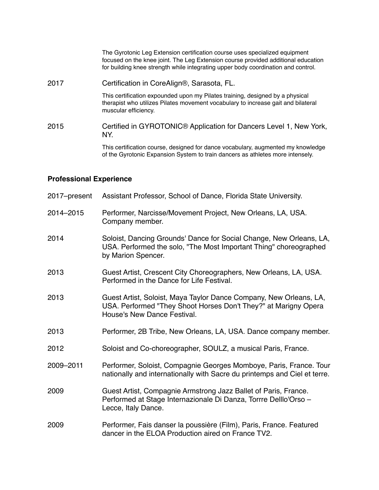|      | The Gyrotonic Leg Extension certification course uses specialized equipment<br>focused on the knee joint. The Leg Extension course provided additional education<br>for building knee strength while integrating upper body coordination and control. |
|------|-------------------------------------------------------------------------------------------------------------------------------------------------------------------------------------------------------------------------------------------------------|
| 2017 | Certification in CoreAlign®, Sarasota, FL.                                                                                                                                                                                                            |
|      | This certification expounded upon my Pilates training, designed by a physical<br>therapist who utilizes Pilates movement vocabulary to increase gait and bilateral<br>muscular efficiency.                                                            |
| 2015 | Certified in GYROTONIC® Application for Dancers Level 1, New York,<br>NY.                                                                                                                                                                             |
|      | This certification course, designed for dance vocabulary, augmented my knowledge<br>of the Gyrotonic Expansion System to train dancers as athletes more intensely.                                                                                    |

#### **Professional Experience**

- 2017–present Assistant Professor, School of Dance, Florida State University.
- 2014–2015 Performer, Narcisse/Movement Project, New Orleans, LA, USA. Company member.
- 2014 Soloist, Dancing Grounds' Dance for Social Change, New Orleans, LA, USA. Performed the solo, "The Most Important Thing" choreographed by Marion Spencer.
- 2013 Guest Artist, Crescent City Choreographers, New Orleans, LA, USA. Performed in the Dance for Life Festival.
- 2013 Guest Artist, Soloist, Maya Taylor Dance Company, New Orleans, LA, USA. Performed "They Shoot Horses Don't They?" at Marigny Opera House's New Dance Festival.
- 2013 Performer, 2B Tribe, New Orleans, LA, USA. Dance company member.
- 2012 Soloist and Co-choreographer, SOULZ, a musical Paris, France.
- 2009–2011 Performer, Soloist, Compagnie Georges Momboye, Paris, France. Tour nationally and internationally with Sacre du printemps and Ciel et terre.
- 2009 Guest Artist, Compagnie Armstrong Jazz Ballet of Paris, France. Performed at Stage Internazionale Di Danza, Torrre Delllo'Orso – Lecce, Italy Dance.
- 2009 Performer, Fais danser la poussière (Film), Paris, France. Featured dancer in the ELOA Production aired on France TV2.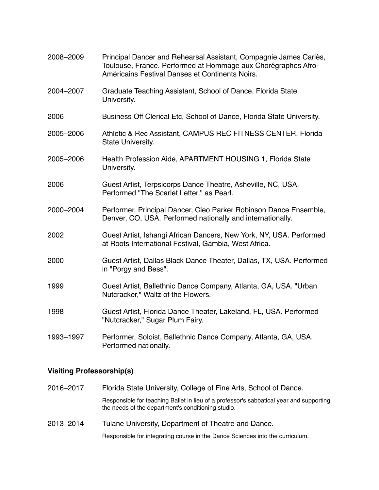| 2008-2009 | Principal Dancer and Rehearsal Assistant, Compagnie James Carlès,<br>Toulouse, France. Performed at Hommage aux Chorégraphes Afro-<br>Américains Festival Danses et Continents Noirs. |
|-----------|---------------------------------------------------------------------------------------------------------------------------------------------------------------------------------------|
| 2004-2007 | Graduate Teaching Assistant, School of Dance, Florida State<br>University.                                                                                                            |
| 2006      | Business Off Clerical Etc, School of Dance, Florida State University.                                                                                                                 |
| 2005-2006 | Athletic & Rec Assistant, CAMPUS REC FITNESS CENTER, Florida<br>State University.                                                                                                     |
| 2005-2006 | Health Profession Aide, APARTMENT HOUSING 1, Florida State<br>University.                                                                                                             |
| 2006      | Guest Artist, Terpsicorps Dance Theatre, Asheville, NC, USA.<br>Performed "The Scarlet Letter," as Pearl.                                                                             |
| 2000-2004 | Performer, Principal Dancer, Cleo Parker Robinson Dance Ensemble,<br>Denver, CO, USA. Performed nationally and internationally.                                                       |
| 2002      | Guest Artist, Ishangi African Dancers, New York, NY, USA. Performed<br>at Roots International Festival, Gambia, West Africa.                                                          |
| 2000      | Guest Artist, Dallas Black Dance Theater, Dallas, TX, USA. Performed<br>in "Porgy and Bess".                                                                                          |
| 1999      | Guest Artist, Ballethnic Dance Company, Atlanta, GA, USA. "Urban<br>Nutcracker," Waltz of the Flowers.                                                                                |
| 1998      | Guest Artist, Florida Dance Theater, Lakeland, FL, USA. Performed<br>"Nutcracker," Sugar Plum Fairy.                                                                                  |
| 1993-1997 | Performer, Soloist, Ballethnic Dance Company, Atlanta, GA, USA.<br>Performed nationally.                                                                                              |

# **Visiting Professorship(s)**

| 2016-2017 | Florida State University, College of Fine Arts, School of Dance.                                                                              |
|-----------|-----------------------------------------------------------------------------------------------------------------------------------------------|
|           | Responsible for teaching Ballet in lieu of a professor's sabbatical year and supporting<br>the needs of the department's conditioning studio. |
| 2013-2014 | Tulane University, Department of Theatre and Dance.                                                                                           |

Responsible for integrating course in the Dance Sciences into the curriculum.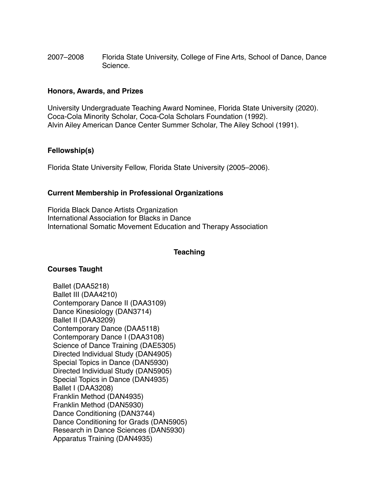2007–2008 Florida State University, College of Fine Arts, School of Dance, Dance Science.

## **Honors, Awards, and Prizes**

University Undergraduate Teaching Award Nominee, Florida State University (2020). Coca-Cola Minority Scholar, Coca-Cola Scholars Foundation (1992). Alvin Ailey American Dance Center Summer Scholar, The Ailey School (1991).

## **Fellowship(s)**

Florida State University Fellow, Florida State University (2005–2006).

## **Current Membership in Professional Organizations**

Florida Black Dance Artists Organization International Association for Blacks in Dance International Somatic Movement Education and Therapy Association

# **Teaching**

### **Courses Taught**

Ballet (DAA5218) Ballet III (DAA4210) Contemporary Dance II (DAA3109) Dance Kinesiology (DAN3714) Ballet II (DAA3209) Contemporary Dance (DAA5118) Contemporary Dance I (DAA3108) Science of Dance Training (DAE5305) Directed Individual Study (DAN4905) Special Topics in Dance (DAN5930) Directed Individual Study (DAN5905) Special Topics in Dance (DAN4935) Ballet I (DAA3208) Franklin Method (DAN4935) Franklin Method (DAN5930) Dance Conditioning (DAN3744) Dance Conditioning for Grads (DAN5905) Research in Dance Sciences (DAN5930) Apparatus Training (DAN4935)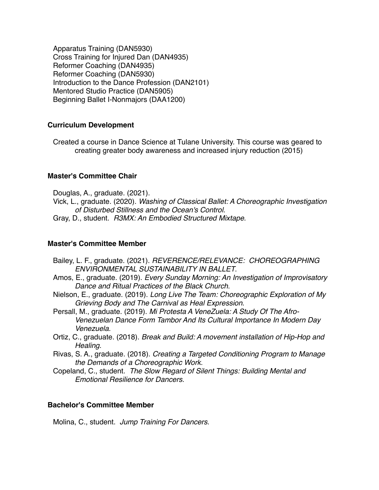Apparatus Training (DAN5930) Cross Training for Injured Dan (DAN4935) Reformer Coaching (DAN4935) Reformer Coaching (DAN5930) Introduction to the Dance Profession (DAN2101) Mentored Studio Practice (DAN5905) Beginning Ballet I-Nonmajors (DAA1200)

# **Curriculum Development**

Created a course in Dance Science at Tulane University. This course was geared to creating greater body awareness and increased injury reduction (2015)

# **Master's Committee Chair**

Douglas, A., graduate. (2021).

Vick, L., graduate. (2020). *Washing of Classical Ballet: A Choreographic Investigation of Disturbed Stillness and the Ocean's Control*.

Gray, D., student. *R3MX: An Embodied Structured Mixtape*.

# **Master's Committee Member**

- Bailey, L. F., graduate. (2021). *REVERENCE/RELEVANCE: CHOREOGRAPHING ENVIRONMENTAL SUSTAINABILITY IN BALLET*.
- Amos, E., graduate. (2019). *Every Sunday Morning: An Investigation of Improvisatory Dance and Ritual Practices of the Black Church*.
- Nielson, E., graduate. (2019). *Long Live The Team: Choreographic Exploration of My Grieving Body and The Carnival as Heal Expression*.
- Persall, M., graduate. (2019). *Mi Protesta A VeneZuela: A Study Of The Afro-Venezuelan Dance Form Tambor And Its Cultural Importance In Modern Day Venezuela*.
- Ortiz, C., graduate. (2018). *Break and Build: A movement installation of Hip-Hop and Healing*.
- Rivas, S. A., graduate. (2018). *Creating a Targeted Conditioning Program to Manage the Demands of a Choreographic Work*.
- Copeland, C., student. *The Slow Regard of Silent Things: Building Mental and Emotional Resilience for Dancers*.

# **Bachelor's Committee Member**

Molina, C., student. *Jump Training For Dancers*.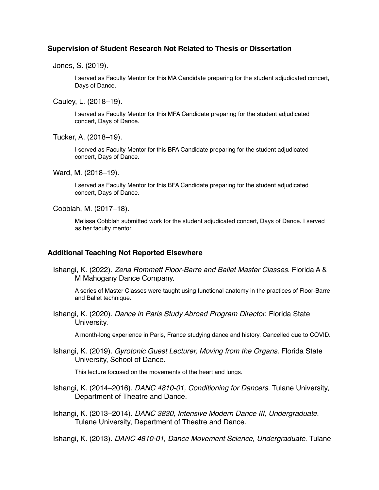### **Supervision of Student Research Not Related to Thesis or Dissertation**

Jones, S. (2019).

I served as Faculty Mentor for this MA Candidate preparing for the student adjudicated concert, Days of Dance.

Cauley, L. (2018–19).

I served as Faculty Mentor for this MFA Candidate preparing for the student adjudicated concert, Days of Dance.

Tucker, A. (2018–19).

I served as Faculty Mentor for this BFA Candidate preparing for the student adjudicated concert, Days of Dance.

Ward, M. (2018–19).

I served as Faculty Mentor for this BFA Candidate preparing for the student adjudicated concert, Days of Dance.

Cobblah, M. (2017–18).

Melissa Cobblah submitted work for the student adjudicated concert, Days of Dance. I served as her faculty mentor.

# **Additional Teaching Not Reported Elsewhere**

Ishangi, K. (2022). *Zena Rommett Floor-Barre and Ballet Master Classes*. Florida A & M Mahogany Dance Company.

A series of Master Classes were taught using functional anatomy in the practices of Floor-Barre and Ballet technique.

Ishangi, K. (2020). *Dance in Paris Study Abroad Program Director*. Florida State University.

A month-long experience in Paris, France studying dance and history. Cancelled due to COVID.

Ishangi, K. (2019). *Gyrotonic Guest Lecturer, Moving from the Organs*. Florida State University, School of Dance.

This lecture focused on the movements of the heart and lungs.

Ishangi, K. (2014–2016). *DANC 4810-01, Conditioning for Dancers*. Tulane University, Department of Theatre and Dance.

Ishangi, K. (2013–2014). *DANC 3830, Intensive Modern Dance III, Undergraduate*. Tulane University, Department of Theatre and Dance.

Ishangi, K. (2013). *DANC 4810-01, Dance Movement Science, Undergraduate*. Tulane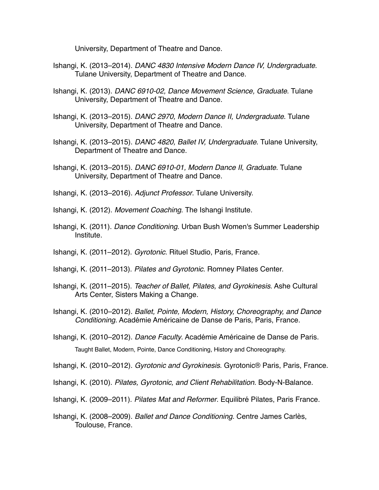University, Department of Theatre and Dance.

- Ishangi, K. (2013–2014). *DANC 4830 Intensive Modern Dance IV, Undergraduate*. Tulane University, Department of Theatre and Dance.
- Ishangi, K. (2013). *DANC 6910-02, Dance Movement Science, Graduate*. Tulane University, Department of Theatre and Dance.
- Ishangi, K. (2013–2015). *DANC 2970, Modern Dance II, Undergraduate*. Tulane University, Department of Theatre and Dance.
- Ishangi, K. (2013–2015). *DANC 4820, Ballet IV, Undergraduate*. Tulane University, Department of Theatre and Dance.
- Ishangi, K. (2013–2015). *DANC 6910-01, Modern Dance II, Graduate*. Tulane University, Department of Theatre and Dance.
- Ishangi, K. (2013–2016). *Adjunct Professor*. Tulane University.
- Ishangi, K. (2012). *Movement Coaching*. The Ishangi Institute.
- Ishangi, K. (2011). *Dance Conditioning*. Urban Bush Women's Summer Leadership Institute.
- Ishangi, K. (2011–2012). *Gyrotonic*. Rituel Studio, Paris, France.
- Ishangi, K. (2011–2013). *Pilates and Gyrotonic*. Romney Pilates Center.
- Ishangi, K. (2011–2015). *Teacher of Ballet, Pilates, and Gyrokinesis*. Ashe Cultural Arts Center, Sisters Making a Change.
- Ishangi, K. (2010–2012). *Ballet, Pointe, Modern, History, Choreography, and Dance Conditioning*. Académie Américaine de Danse de Paris, Paris, France.
- Ishangi, K. (2010–2012). *Dance Faculty*. Académie Américaine de Danse de Paris. Taught Ballet, Modern, Pointe, Dance Conditioning, History and Choreography.
- Ishangi, K. (2010–2012). *Gyrotonic and Gyrokinesis*. Gyrotonic® Paris, Paris, France.
- Ishangi, K. (2010). *Pilates, Gyrotonic, and Client Rehabilitation*. Body-N-Balance.
- Ishangi, K. (2009–2011). *Pilates Mat and Reformer*. Equilibré Pilates, Paris France.
- Ishangi, K. (2008–2009). *Ballet and Dance Conditioning*. Centre James Carlès, Toulouse, France.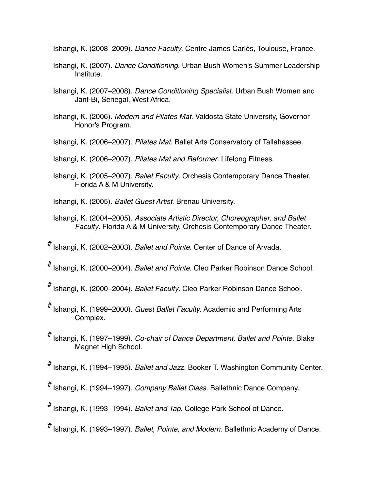Ishangi, K. (2008–2009). *Dance Faculty*. Centre James Carlès, Toulouse, France.

- Ishangi, K. (2007). *Dance Conditioning*. Urban Bush Women's Summer Leadership Institute.
- Ishangi, K. (2007–2008). *Dance Conditioning Specialist*. Urban Bush Women and Jant-Bi, Senegal, West Africa.
- Ishangi, K. (2006). *Modern and Pilates Mat*. Valdosta State University, Governor Honor's Program.
- Ishangi, K. (2006–2007). *Pilates Mat*. Ballet Arts Conservatory of Tallahassee.
- Ishangi, K. (2006–2007). *Pilates Mat and Reformer*. Lifelong Fitness.
- Ishangi, K. (2005–2007). *Ballet Faculty*. Orchesis Contemporary Dance Theater, Florida A & M University.

Ishangi, K. (2005). *Ballet Guest Artist*. Brenau University.

Ishangi, K. (2004–2005). *Associate Artistic Director, Choreographer, and Ballet Faculty*. Florida A & M University, Orchesis Contemporary Dance Theater.

# Ishangi, K. (2002–2003). *Ballet and Pointe*. Center of Dance of Arvada.

# Ishangi, K. (2000–2004). *Ballet and Pointe*. Cleo Parker Robinson Dance School.

- # Ishangi, K. (2000–2004). *Ballet Faculty*. Cleo Parker Robinson Dance School.
- # Ishangi, K. (1999–2000). *Guest Ballet Faculty*. Academic and Performing Arts Complex.
- # Ishangi, K. (1997–1999). *Co-chair of Dance Department, Ballet and Pointe*. Blake Magnet High School.

# Ishangi, K. (1994–1995). *Ballet and Jazz*. Booker T. Washington Community Center.

# Ishangi, K. (1994–1997). *Company Ballet Class*. Ballethnic Dance Company.

# Ishangi, K. (1993–1994). *Ballet and Tap*. College Park School of Dance.

# Ishangi, K. (1993–1997). *Ballet, Pointe, and Modern*. Ballethnic Academy of Dance.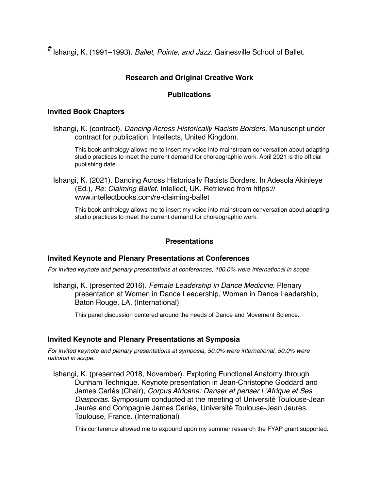# Ishangi, K. (1991–1993). *Ballet, Pointe, and Jazz*. Gainesville School of Ballet.

## **Research and Original Creative Work**

### **Publications**

### **Invited Book Chapters**

Ishangi, K. (contract). *Dancing Across Historically Racists Borders*. Manuscript under contract for publication, Intellects, United Kingdom.

This book anthology allows me to insert my voice into mainstream conversation about adapting studio practices to meet the current demand for choreographic work. April 2021 is the official publishing date.

Ishangi, K. (2021). Dancing Across Historically Racists Borders. In Adesola Akinleye (Ed.), *Re: Claiming Ballet*. Intellect, UK. Retrieved from [https://](https://www.intellectbooks.com/re-claiming-ballet) [www.intellectbooks.com/re-claiming-ballet](https://www.intellectbooks.com/re-claiming-ballet)

This book anthology allows me to insert my voice into mainstream conversation about adapting studio practices to meet the current demand for choreographic work.

### **Presentations**

#### **Invited Keynote and Plenary Presentations at Conferences**

*For invited keynote and plenary presentations at conferences, 100.0% were international in scope.*

Ishangi, K. (presented 2016). *Female Leadership in Dance Medicine*. Plenary presentation at Women in Dance Leadership, Women in Dance Leadership, Baton Rouge, LA. (International)

This panel discussion centered around the needs of Dance and Movement Science.

### **Invited Keynote and Plenary Presentations at Symposia**

*For invited keynote and plenary presentations at symposia, 50.0% were international, 50.0% were national in scope.*

Ishangi, K. (presented 2018, November). Exploring Functional Anatomy through Dunham Technique. Keynote presentation in Jean-Christophe Goddard and James Carlès (Chair), *Corpus Africana: Danser et penser L'Afrique et Ses Diasporas*. Symposium conducted at the meeting of Université Toulouse-Jean Jaurès and Compagnie James Carlès, Université Toulouse-Jean Jaurès, Toulouse, France. (International)

This conference allowed me to expound upon my summer research the FYAP grant supported.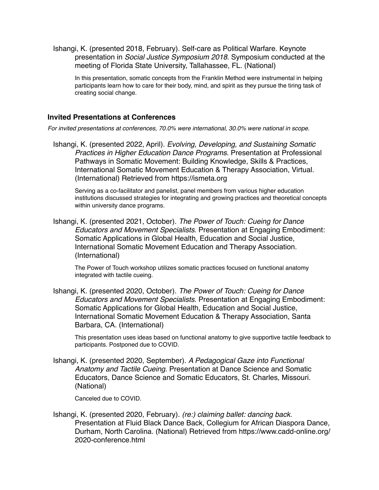Ishangi, K. (presented 2018, February). Self-care as Political Warfare. Keynote presentation in *Social Justice Symposium 2018*. Symposium conducted at the meeting of Florida State University, Tallahassee, FL. (National)

In this presentation, somatic concepts from the Franklin Method were instrumental in helping participants learn how to care for their body, mind, and spirit as they pursue the tiring task of creating social change.

### **Invited Presentations at Conferences**

*For invited presentations at conferences, 70.0% were international, 30.0% were national in scope.*

Ishangi, K. (presented 2022, April). *Evolving, Developing, and Sustaining Somatic Practices in Higher Education Dance Programs*. Presentation at Professional Pathways in Somatic Movement: Building Knowledge, Skills & Practices, International Somatic Movement Education & Therapy Association, Virtual. (International) Retrieved from<https://ismeta.org>

Serving as a co-facilitator and panelist, panel members from various higher education institutions discussed strategies for integrating and growing practices and theoretical concepts within university dance programs.

Ishangi, K. (presented 2021, October). *The Power of Touch: Cueing for Dance Educators and Movement Specialists*. Presentation at Engaging Embodiment: Somatic Applications in Global Health, Education and Social Justice, International Somatic Movement Education and Therapy Association. (International)

The Power of Touch workshop utilizes somatic practices focused on functional anatomy integrated with tactile cueing.

Ishangi, K. (presented 2020, October). *The Power of Touch: Cueing for Dance Educators and Movement Specialists*. Presentation at Engaging Embodiment: Somatic Applications for Global Health, Education and Social Justice, International Somatic Movement Education & Therapy Association, Santa Barbara, CA. (International)

This presentation uses ideas based on functional anatomy to give supportive tactile feedback to participants. Postponed due to COVID.

Ishangi, K. (presented 2020, September). *A Pedagogical Gaze into Functional Anatomy and Tactile Cueing*. Presentation at Dance Science and Somatic Educators, Dance Science and Somatic Educators, St. Charles, Missouri. (National)

Canceled due to COVID.

Ishangi, K. (presented 2020, February). *(re:) claiming ballet: dancing back*. Presentation at Fluid Black Dance Back, Collegium for African Diaspora Dance, Durham, North Carolina. (National) Retrieved from [https://www.cadd-online.org/](https://www.cadd-online.org/2020-conference.html) [2020-conference.html](https://www.cadd-online.org/2020-conference.html)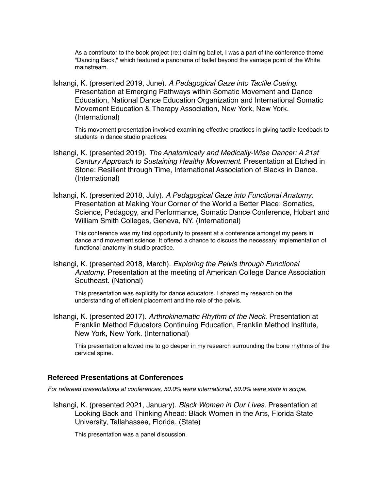As a contributor to the book project (re:) claiming ballet, I was a part of the conference theme "Dancing Back," which featured a panorama of ballet beyond the vantage point of the White mainstream.

Ishangi, K. (presented 2019, June). *A Pedagogical Gaze into Tactile Cueing*. Presentation at Emerging Pathways within Somatic Movement and Dance Education, National Dance Education Organization and International Somatic Movement Education & Therapy Association, New York, New York. (International)

This movement presentation involved examining effective practices in giving tactile feedback to students in dance studio practices.

- Ishangi, K. (presented 2019). *The Anatomically and Medically-Wise Dancer: A 21st Century Approach to Sustaining Healthy Movement*. Presentation at Etched in Stone: Resilient through Time, International Association of Blacks in Dance. (International)
- Ishangi, K. (presented 2018, July). *A Pedagogical Gaze into Functional Anatomy*. Presentation at Making Your Corner of the World a Better Place: Somatics, Science, Pedagogy, and Performance, Somatic Dance Conference, Hobart and William Smith Colleges, Geneva, NY. (International)

This conference was my first opportunity to present at a conference amongst my peers in dance and movement science. It offered a chance to discuss the necessary implementation of functional anatomy in studio practice.

Ishangi, K. (presented 2018, March). *Exploring the Pelvis through Functional Anatomy*. Presentation at the meeting of American College Dance Association Southeast. (National)

This presentation was explicitly for dance educators. I shared my research on the understanding of efficient placement and the role of the pelvis.

Ishangi, K. (presented 2017). *Arthrokinematic Rhythm of the Neck*. Presentation at Franklin Method Educators Continuing Education, Franklin Method Institute, New York, New York. (International)

This presentation allowed me to go deeper in my research surrounding the bone rhythms of the cervical spine.

#### **Refereed Presentations at Conferences**

*For refereed presentations at conferences, 50.0% were international, 50.0% were state in scope.*

Ishangi, K. (presented 2021, January). *Black Women in Our Lives*. Presentation at Looking Back and Thinking Ahead: Black Women in the Arts, Florida State University, Tallahassee, Florida. (State)

This presentation was a panel discussion.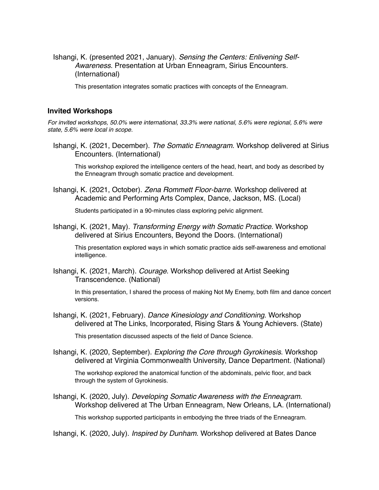Ishangi, K. (presented 2021, January). *Sensing the Centers: Enlivening Self-Awareness*. Presentation at Urban Enneagram, Sirius Encounters. (International)

This presentation integrates somatic practices with concepts of the Enneagram.

#### **Invited Workshops**

*For invited workshops, 50.0% were international, 33.3% were national, 5.6% were regional, 5.6% were state, 5.6% were local in scope.*

Ishangi, K. (2021, December). *The Somatic Enneagram*. Workshop delivered at Sirius Encounters. (International)

This workshop explored the intelligence centers of the head, heart, and body as described by the Enneagram through somatic practice and development.

Ishangi, K. (2021, October). *Zena Rommett Floor-barre*. Workshop delivered at Academic and Performing Arts Complex, Dance, Jackson, MS. (Local)

Students participated in a 90-minutes class exploring pelvic alignment.

Ishangi, K. (2021, May). *Transforming Energy with Somatic Practice*. Workshop delivered at Sirius Encounters, Beyond the Doors. (International)

This presentation explored ways in which somatic practice aids self-awareness and emotional intelligence.

Ishangi, K. (2021, March). *Courage*. Workshop delivered at Artist Seeking Transcendence. (National)

In this presentation, I shared the process of making Not My Enemy, both film and dance concert versions.

Ishangi, K. (2021, February). *Dance Kinesiology and Conditioning*. Workshop delivered at The Links, Incorporated, Rising Stars & Young Achievers. (State)

This presentation discussed aspects of the field of Dance Science.

Ishangi, K. (2020, September). *Exploring the Core through Gyrokinesis*. Workshop delivered at Virginia Commonwealth University, Dance Department. (National)

The workshop explored the anatomical function of the abdominals, pelvic floor, and back through the system of Gyrokinesis.

Ishangi, K. (2020, July). *Developing Somatic Awareness with the Enneagram*. Workshop delivered at The Urban Enneagram, New Orleans, LA. (International)

This workshop supported participants in embodying the three triads of the Enneagram.

Ishangi, K. (2020, July). *Inspired by Dunham*. Workshop delivered at Bates Dance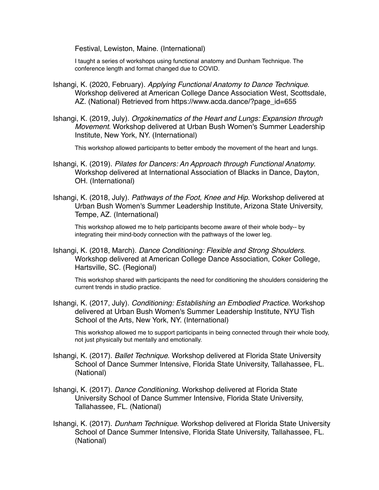Festival, Lewiston, Maine. (International)

I taught a series of workshops using functional anatomy and Dunham Technique. The conference length and format changed due to COVID.

- Ishangi, K. (2020, February). *Applying Functional Anatomy to Dance Technique*. Workshop delivered at American College Dance Association West, Scottsdale, AZ. (National) Retrieved from [https://www.acda.dance/?page\\_id=655](https://www.acda.dance/?page_id=655)
- Ishangi, K. (2019, July). *Orgokinematics of the Heart and Lungs: Expansion through Movement*. Workshop delivered at Urban Bush Women's Summer Leadership Institute, New York, NY. (International)

This workshop allowed participants to better embody the movement of the heart and lungs.

- Ishangi, K. (2019). *Pilates for Dancers: An Approach through Functional Anatomy*. Workshop delivered at International Association of Blacks in Dance, Dayton, OH. (International)
- Ishangi, K. (2018, July). *Pathways of the Foot, Knee and Hip*. Workshop delivered at Urban Bush Women's Summer Leadership Institute, Arizona State University, Tempe, AZ. (International)

This workshop allowed me to help participants become aware of their whole body-- by integrating their mind-body connection with the pathways of the lower leg.

Ishangi, K. (2018, March). *Dance Conditioning: Flexible and Strong Shoulders*. Workshop delivered at American College Dance Association, Coker College, Hartsville, SC. (Regional)

This workshop shared with participants the need for conditioning the shoulders considering the current trends in studio practice.

Ishangi, K. (2017, July). *Conditioning: Establishing an Embodied Practice*. Workshop delivered at Urban Bush Women's Summer Leadership Institute, NYU Tish School of the Arts, New York, NY. (International)

This workshop allowed me to support participants in being connected through their whole body, not just physically but mentally and emotionally.

- Ishangi, K. (2017). *Ballet Technique*. Workshop delivered at Florida State University School of Dance Summer Intensive, Florida State University, Tallahassee, FL. (National)
- Ishangi, K. (2017). *Dance Conditioning*. Workshop delivered at Florida State University School of Dance Summer Intensive, Florida State University, Tallahassee, FL. (National)
- Ishangi, K. (2017). *Dunham Technique*. Workshop delivered at Florida State University School of Dance Summer Intensive, Florida State University, Tallahassee, FL. (National)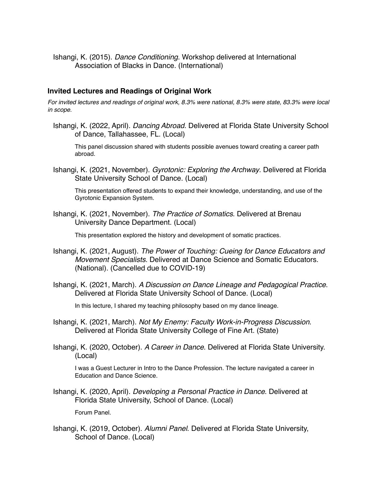Ishangi, K. (2015). *Dance Conditioning*. Workshop delivered at International Association of Blacks in Dance. (International)

#### **Invited Lectures and Readings of Original Work**

*For invited lectures and readings of original work, 8.3% were national, 8.3% were state, 83.3% were local in scope.*

Ishangi, K. (2022, April). *Dancing Abroad*. Delivered at Florida State University School of Dance, Tallahassee, FL. (Local)

This panel discussion shared with students possible avenues toward creating a career path abroad.

Ishangi, K. (2021, November). *Gyrotonic: Exploring the Archway*. Delivered at Florida State University School of Dance. (Local)

This presentation offered students to expand their knowledge, understanding, and use of the Gyrotonic Expansion System.

Ishangi, K. (2021, November). *The Practice of Somatics*. Delivered at Brenau University Dance Department. (Local)

This presentation explored the history and development of somatic practices.

- Ishangi, K. (2021, August). *The Power of Touching: Cueing for Dance Educators and Movement Specialists*. Delivered at Dance Science and Somatic Educators. (National). (Cancelled due to COVID-19)
- Ishangi, K. (2021, March). *A Discussion on Dance Lineage and Pedagogical Practice*. Delivered at Florida State University School of Dance. (Local)

In this lecture, I shared my teaching philosophy based on my dance lineage.

- Ishangi, K. (2021, March). *Not My Enemy: Faculty Work-in-Progress Discussion*. Delivered at Florida State University College of Fine Art. (State)
- Ishangi, K. (2020, October). *A Career in Dance*. Delivered at Florida State University. (Local)

I was a Guest Lecturer in Intro to the Dance Profession. The lecture navigated a career in Education and Dance Science.

Ishangi, K. (2020, April). *Developing a Personal Practice in Dance*. Delivered at Florida State University, School of Dance. (Local)

Forum Panel.

Ishangi, K. (2019, October). *Alumni Panel*. Delivered at Florida State University, School of Dance. (Local)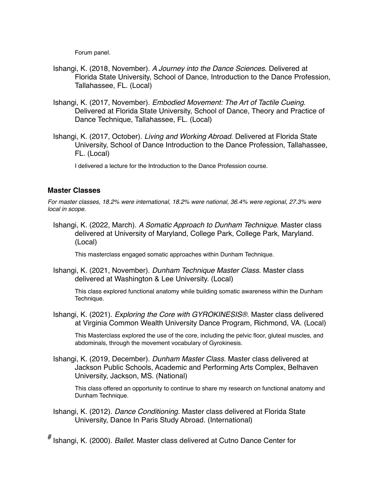Forum panel.

- Ishangi, K. (2018, November). *A Journey into the Dance Sciences*. Delivered at Florida State University, School of Dance, Introduction to the Dance Profession, Tallahassee, FL. (Local)
- Ishangi, K. (2017, November). *Embodied Movement: The Art of Tactile Cueing*. Delivered at Florida State University, School of Dance, Theory and Practice of Dance Technique, Tallahassee, FL. (Local)
- Ishangi, K. (2017, October). *Living and Working Abroad*. Delivered at Florida State University, School of Dance Introduction to the Dance Profession, Tallahassee, FL. (Local)

I delivered a lecture for the Introduction to the Dance Profession course.

# **Master Classes**

*For master classes, 18.2% were international, 18.2% were national, 36.4% were regional, 27.3% were local in scope.*

Ishangi, K. (2022, March). *A Somatic Approach to Dunham Technique*. Master class delivered at University of Maryland, College Park, College Park, Maryland. (Local)

This masterclass engaged somatic approaches within Dunham Technique.

Ishangi, K. (2021, November). *Dunham Technique Master Class*. Master class delivered at Washington & Lee University. (Local)

This class explored functional anatomy while building somatic awareness within the Dunham Technique.

Ishangi, K. (2021). *Exploring the Core with GYROKINESIS®*. Master class delivered at Virginia Common Wealth University Dance Program, Richmond, VA. (Local)

This Masterclass explored the use of the core, including the pelvic floor, gluteal muscles, and abdominals, through the movement vocabulary of Gyrokinesis.

Ishangi, K. (2019, December). *Dunham Master Class*. Master class delivered at Jackson Public Schools, Academic and Performing Arts Complex, Belhaven University, Jackson, MS. (National)

This class offered an opportunity to continue to share my research on functional anatomy and Dunham Technique.

Ishangi, K. (2012). *Dance Conditioning*. Master class delivered at Florida State University, Dance In Paris Study Abroad. (International)

# Ishangi, K. (2000). *Ballet*. Master class delivered at Cutno Dance Center for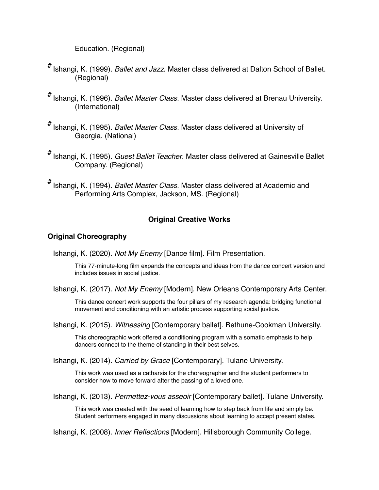Education. (Regional)

- # Ishangi, K. (1999). *Ballet and Jazz*. Master class delivered at Dalton School of Ballet. (Regional)
- # Ishangi, K. (1996). *Ballet Master Class*. Master class delivered at Brenau University. (International)
- # Ishangi, K. (1995). *Ballet Master Class*. Master class delivered at University of Georgia. (National)
- # Ishangi, K. (1995). *Guest Ballet Teacher*. Master class delivered at Gainesville Ballet Company. (Regional)
- # Ishangi, K. (1994). *Ballet Master Class*. Master class delivered at Academic and Performing Arts Complex, Jackson, MS. (Regional)

## **Original Creative Works**

## **Original Choreography**

Ishangi, K. (2020). *Not My Enemy* [Dance film]. Film Presentation.

This 77-minute-long film expands the concepts and ideas from the dance concert version and includes issues in social justice.

Ishangi, K. (2017). *Not My Enemy* [Modern]. New Orleans Contemporary Arts Center.

This dance concert work supports the four pillars of my research agenda: bridging functional movement and conditioning with an artistic process supporting social justice.

Ishangi, K. (2015). *Witnessing* [Contemporary ballet]. Bethune-Cookman University.

This choreographic work offered a conditioning program with a somatic emphasis to help dancers connect to the theme of standing in their best selves.

Ishangi, K. (2014). *Carried by Grace* [Contemporary]. Tulane University.

This work was used as a catharsis for the choreographer and the student performers to consider how to move forward after the passing of a loved one.

Ishangi, K. (2013). *Permettez-vous asseoir* [Contemporary ballet]. Tulane University.

This work was created with the seed of learning how to step back from life and simply be. Student performers engaged in many discussions about learning to accept present states.

Ishangi, K. (2008). *Inner Reflections* [Modern]. Hillsborough Community College.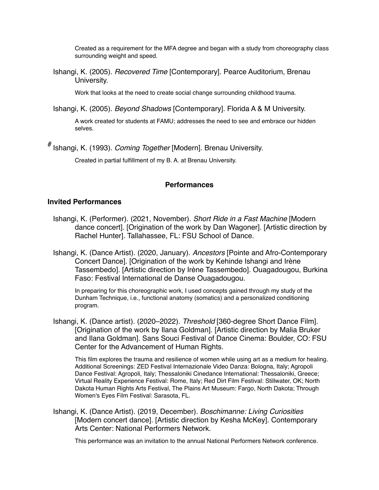Created as a requirement for the MFA degree and began with a study from choreography class surrounding weight and speed.

Ishangi, K. (2005). *Recovered Time* [Contemporary]. Pearce Auditorium, Brenau University.

Work that looks at the need to create social change surrounding childhood trauma.

Ishangi, K. (2005). *Beyond Shadows* [Contemporary]. Florida A & M University.

A work created for students at FAMU; addresses the need to see and embrace our hidden selves.

# Ishangi, K. (1993). *Coming Together* [Modern]. Brenau University.

Created in partial fulfillment of my B. A. at Brenau University.

#### **Performances**

#### **Invited Performances**

- Ishangi, K. (Performer). (2021, November). *Short Ride in a Fast Machine* [Modern dance concert]. [Origination of the work by Dan Wagoner]. [Artistic direction by Rachel Hunter]. Tallahassee, FL: FSU School of Dance.
- Ishangi, K. (Dance Artist). (2020, January). *Ancestors* [Pointe and Afro-Contemporary Concert Dance]. [Origination of the work by Kehinde Ishangi and Irène Tassembedo]. [Artistic direction by Irène Tassembedo]. Ouagadougou, Burkina Faso: Festival International de Danse Ouagadougou.

In preparing for this choreographic work, I used concepts gained through my study of the Dunham Technique, i.e., functional anatomy (somatics) and a personalized conditioning program.

Ishangi, K. (Dance artist). (2020–2022). *Threshold* [360-degree Short Dance Film]. [Origination of the work by Ilana Goldman]. [Artistic direction by Malia Bruker and Ilana Goldman]. Sans Souci Festival of Dance Cinema: Boulder, CO: FSU Center for the Advancement of Human Rights.

This film explores the trauma and resilience of women while using art as a medium for healing. Additional Screenings: ZED Festival Internazionale Video Danza: Bologna, Italy; Agropoli Dance Festival: Agropoli, Italy; Thessaloniki Cinedance International: Thessaloniki, Greece; Virtual Reality Experience Festival: Rome, Italy; Red Dirt Film Festival: Stillwater, OK; North Dakota Human Rights Arts Festival, The Plains Art Museum: Fargo, North Dakota; Through Women's Eyes Film Festival: Sarasota, FL.

Ishangi, K. (Dance Artist). (2019, December). *Boschimanne: Living Curiosities* [Modern concert dance]. [Artistic direction by Kesha McKey]. Contemporary Arts Center: National Performers Network.

This performance was an invitation to the annual National Performers Network conference.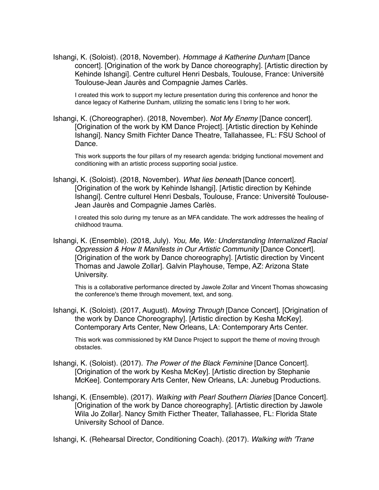Ishangi, K. (Soloist). (2018, November). *Hommage à Katherine Dunham* [Dance concert]. [Origination of the work by Dance choreography]. [Artistic direction by Kehinde Ishangi]. Centre culturel Henri Desbals, Toulouse, France: Université Toulouse-Jean Jaurès and Compagnie James Carlès.

I created this work to support my lecture presentation during this conference and honor the dance legacy of Katherine Dunham, utilizing the somatic lens I bring to her work.

Ishangi, K. (Choreographer). (2018, November). *Not My Enemy* [Dance concert]. [Origination of the work by KM Dance Project]. [Artistic direction by Kehinde Ishangi]. Nancy Smith Fichter Dance Theatre, Tallahassee, FL: FSU School of Dance.

This work supports the four pillars of my research agenda: bridging functional movement and conditioning with an artistic process supporting social justice.

Ishangi, K. (Soloist). (2018, November). *What lies beneath* [Dance concert]. [Origination of the work by Kehinde Ishangi]. [Artistic direction by Kehinde Ishangi]. Centre culturel Henri Desbals, Toulouse, France: Université Toulouse-Jean Jaurès and Compagnie James Carlès.

I created this solo during my tenure as an MFA candidate. The work addresses the healing of childhood trauma.

Ishangi, K. (Ensemble). (2018, July). *You, Me, We: Understanding Internalized Racial Oppression & How It Manifests in Our Artistic Community* [Dance Concert]. [Origination of the work by Dance choreography]. [Artistic direction by Vincent Thomas and Jawole Zollar]. Galvin Playhouse, Tempe, AZ: Arizona State University.

This is a collaborative performance directed by Jawole Zollar and Vincent Thomas showcasing the conference's theme through movement, text, and song.

Ishangi, K. (Soloist). (2017, August). *Moving Through* [Dance Concert]. [Origination of the work by Dance Choreography]. [Artistic direction by Kesha McKey]. Contemporary Arts Center, New Orleans, LA: Contemporary Arts Center.

This work was commissioned by KM Dance Project to support the theme of moving through obstacles.

- Ishangi, K. (Soloist). (2017). *The Power of the Black Feminine* [Dance Concert]. [Origination of the work by Kesha McKey]. [Artistic direction by Stephanie McKee]. Contemporary Arts Center, New Orleans, LA: Junebug Productions.
- Ishangi, K. (Ensemble). (2017). *Walking with Pearl Southern Diaries* [Dance Concert]. [Origination of the work by Dance choreography]. [Artistic direction by Jawole Wila Jo Zollar]. Nancy Smith Ficther Theater, Tallahassee, FL: Florida State University School of Dance.

Ishangi, K. (Rehearsal Director, Conditioning Coach). (2017). *Walking with 'Trane*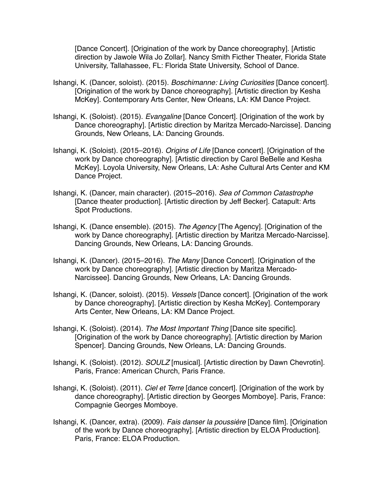[Dance Concert]. [Origination of the work by Dance choreography]. [Artistic direction by Jawole Wila Jo Zollar]. Nancy Smith Ficther Theater, Florida State University, Tallahassee, FL: Florida State University, School of Dance.

- Ishangi, K. (Dancer, soloist). (2015). *Boschimanne: Living Curiosities* [Dance concert]. [Origination of the work by Dance choreography]. [Artistic direction by Kesha McKey]. Contemporary Arts Center, New Orleans, LA: KM Dance Project.
- Ishangi, K. (Soloist). (2015). *Evangaline* [Dance Concert]. [Origination of the work by Dance choreography]. [Artistic direction by Maritza Mercado-Narcisse]. Dancing Grounds, New Orleans, LA: Dancing Grounds.
- Ishangi, K. (Soloist). (2015–2016). *Origins of Life* [Dance concert]. [Origination of the work by Dance choreography]. [Artistic direction by Carol BeBelle and Kesha McKey]. Loyola University, New Orleans, LA: Ashe Cultural Arts Center and KM Dance Project.
- Ishangi, K. (Dancer, main character). (2015–2016). *Sea of Common Catastrophe* [Dance theater production]. [Artistic direction by Jeff Becker]. Catapult: Arts Spot Productions.
- Ishangi, K. (Dance ensemble). (2015). *The Agency* [The Agency]. [Origination of the work by Dance choreography]. [Artistic direction by Maritza Mercado-Narcisse]. Dancing Grounds, New Orleans, LA: Dancing Grounds.
- Ishangi, K. (Dancer). (2015–2016). *The Many* [Dance Concert]. [Origination of the work by Dance choreography]. [Artistic direction by Maritza Mercado-Narcissee]. Dancing Grounds, New Orleans, LA: Dancing Grounds.
- Ishangi, K. (Dancer, soloist). (2015). *Vessels* [Dance concert]. [Origination of the work by Dance choreography]. [Artistic direction by Kesha McKey]. Contemporary Arts Center, New Orleans, LA: KM Dance Project.
- Ishangi, K. (Soloist). (2014). *The Most Important Thing* [Dance site specific]. [Origination of the work by Dance choreography]. [Artistic direction by Marion Spencer]. Dancing Grounds, New Orleans, LA: Dancing Grounds.
- Ishangi, K. (Soloist). (2012). *SOULZ* [musical]. [Artistic direction by Dawn Chevrotin]. Paris, France: American Church, Paris France.
- Ishangi, K. (Soloist). (2011). *Ciel et Terre* [dance concert]. [Origination of the work by dance choreography]. [Artistic direction by Georges Momboye]. Paris, France: Compagnie Georges Momboye.
- Ishangi, K. (Dancer, extra). (2009). *Fais danser la poussière* [Dance film]. [Origination of the work by Dance choreography]. [Artistic direction by ELOA Production]. Paris, France: ELOA Production.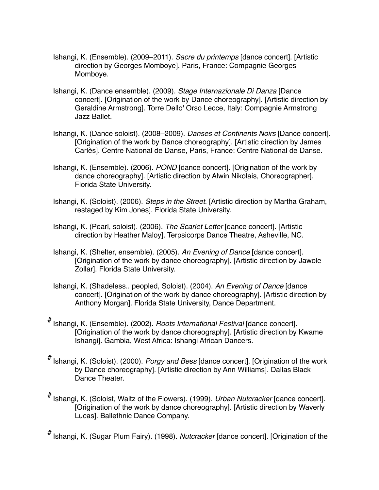- Ishangi, K. (Ensemble). (2009–2011). *Sacre du printemps* [dance concert]. [Artistic direction by Georges Momboye]. Paris, France: Compagnie Georges Momboye.
- Ishangi, K. (Dance ensemble). (2009). *Stage Internazionale Di Danza* [Dance concert]. [Origination of the work by Dance choreography]. [Artistic direction by Geraldine Armstrong]. Torre Dello' Orso Lecce, Italy: Compagnie Armstrong Jazz Ballet.
- Ishangi, K. (Dance soloist). (2008–2009). *Danses et Continents Noirs* [Dance concert]. [Origination of the work by Dance choreography]. [Artistic direction by James Carlès]. Centre National de Danse, Paris, France: Centre National de Danse.
- Ishangi, K. (Ensemble). (2006). *POND* [dance concert]. [Origination of the work by dance choreography]. [Artistic direction by Alwin Nikolais, Choreographer]. Florida State University.
- Ishangi, K. (Soloist). (2006). *Steps in the Street*. [Artistic direction by Martha Graham, restaged by Kim Jones]. Florida State University.
- Ishangi, K. (Pearl, soloist). (2006). *The Scarlet Letter* [dance concert]. [Artistic direction by Heather Maloy]. Terpsicorps Dance Theatre, Asheville, NC.
- Ishangi, K. (Shelter, ensemble). (2005). *An Evening of Dance* [dance concert]. [Origination of the work by dance choreography]. [Artistic direction by Jawole Zollar]. Florida State University.
- Ishangi, K. (Shadeless.. peopled, Soloist). (2004). *An Evening of Dance* [dance concert]. [Origination of the work by dance choreography]. [Artistic direction by Anthony Morgan]. Florida State University, Dance Department.
- # Ishangi, K. (Ensemble). (2002). *Roots International Festival* [dance concert]. [Origination of the work by dance choreography]. [Artistic direction by Kwame Ishangi]. Gambia, West Africa: Ishangi African Dancers.
- # Ishangi, K. (Soloist). (2000). *Porgy and Bess* [dance concert]. [Origination of the work by Dance choreography]. [Artistic direction by Ann Williams]. Dallas Black Dance Theater.
- # Ishangi, K. (Soloist, Waltz of the Flowers). (1999). *Urban Nutcracker* [dance concert]. [Origination of the work by dance choreography]. [Artistic direction by Waverly Lucas]. Ballethnic Dance Company.

# Ishangi, K. (Sugar Plum Fairy). (1998). *Nutcracker* [dance concert]. [Origination of the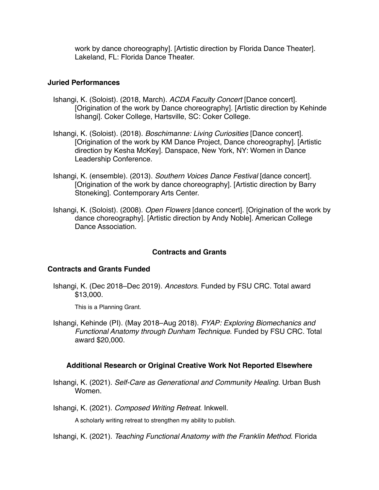work by dance choreography]. [Artistic direction by Florida Dance Theater]. Lakeland, FL: Florida Dance Theater.

### **Juried Performances**

- Ishangi, K. (Soloist). (2018, March). *ACDA Faculty Concert* [Dance concert]. [Origination of the work by Dance choreography]. [Artistic direction by Kehinde Ishangi]. Coker College, Hartsville, SC: Coker College.
- Ishangi, K. (Soloist). (2018). *Boschimanne: Living Curiosities* [Dance concert]. [Origination of the work by KM Dance Project, Dance choreography]. [Artistic direction by Kesha McKey]. Danspace, New York, NY: Women in Dance Leadership Conference.
- Ishangi, K. (ensemble). (2013). *Southern Voices Dance Festival* [dance concert]. [Origination of the work by dance choreography]. [Artistic direction by Barry Stoneking]. Contemporary Arts Center.
- Ishangi, K. (Soloist). (2008). *Open Flowers* [dance concert]. [Origination of the work by dance choreography]. [Artistic direction by Andy Noble]. American College Dance Association.

# **Contracts and Grants**

# **Contracts and Grants Funded**

Ishangi, K. (Dec 2018–Dec 2019). *Ancestors*. Funded by FSU CRC. Total award \$13,000.

This is a Planning Grant.

Ishangi, Kehinde (PI). (May 2018–Aug 2018). *FYAP: Exploring Biomechanics and Functional Anatomy through Dunham Technique*. Funded by FSU CRC. Total award \$20,000.

# **Additional Research or Original Creative Work Not Reported Elsewhere**

Ishangi, K. (2021). *Self-Care as Generational and Community Healing*. Urban Bush Women.

Ishangi, K. (2021). *Composed Writing Retreat*. Inkwell.

A scholarly writing retreat to strengthen my ability to publish.

Ishangi, K. (2021). *Teaching Functional Anatomy with the Franklin Method*. Florida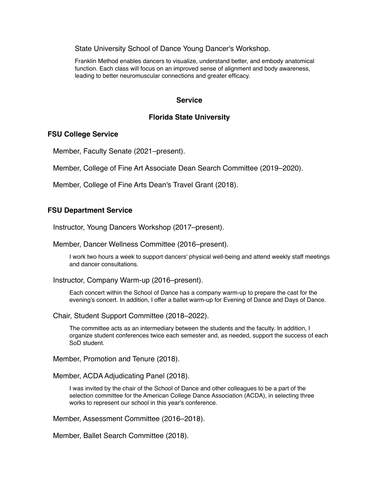State University School of Dance Young Dancer's Workshop.

Franklin Method enables dancers to visualize, understand better, and embody anatomical function. Each class will focus on an improved sense of alignment and body awareness, leading to better neuromuscular connections and greater efficacy.

### **Service**

### **Florida State University**

#### **FSU College Service**

Member, Faculty Senate (2021–present).

Member, College of Fine Art Associate Dean Search Committee (2019–2020).

Member, College of Fine Arts Dean's Travel Grant (2018).

### **FSU Department Service**

Instructor, Young Dancers Workshop (2017–present).

Member, Dancer Wellness Committee (2016–present).

I work two hours a week to support dancers' physical well-being and attend weekly staff meetings and dancer consultations.

Instructor, Company Warm-up (2016–present).

Each concert within the School of Dance has a company warm-up to prepare the cast for the evening's concert. In addition, I offer a ballet warm-up for Evening of Dance and Days of Dance.

Chair, Student Support Committee (2018–2022).

The committee acts as an intermediary between the students and the faculty. In addition, I organize student conferences twice each semester and, as needed, support the success of each SoD student.

Member, Promotion and Tenure (2018).

Member, ACDA Adjudicating Panel (2018).

I was invited by the chair of the School of Dance and other colleagues to be a part of the selection committee for the American College Dance Association (ACDA), in selecting three works to represent our school in this year's conference.

Member, Assessment Committee (2016–2018).

Member, Ballet Search Committee (2018).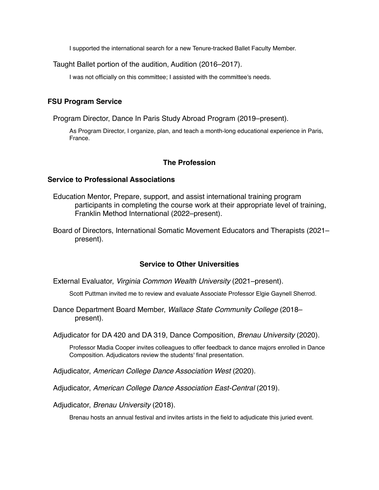I supported the international search for a new Tenure-tracked Ballet Faculty Member.

Taught Ballet portion of the audition, Audition (2016–2017).

I was not officially on this committee; I assisted with the committee's needs.

## **FSU Program Service**

Program Director, Dance In Paris Study Abroad Program (2019–present).

As Program Director, I organize, plan, and teach a month-long educational experience in Paris, France.

### **The Profession**

#### **Service to Professional Associations**

- Education Mentor, Prepare, support, and assist international training program participants in completing the course work at their appropriate level of training, Franklin Method International (2022–present).
- Board of Directors, International Somatic Movement Educators and Therapists (2021– present).

### **Service to Other Universities**

External Evaluator, *Virginia Common Wealth University* (2021–present).

Scott Puttman invited me to review and evaluate Associate Professor Elgie Gaynell Sherrod.

Dance Department Board Member, *Wallace State Community College* (2018– present).

Adjudicator for DA 420 and DA 319, Dance Composition, *Brenau University* (2020).

Professor Madia Cooper invites colleagues to offer feedback to dance majors enrolled in Dance Composition. Adjudicators review the students' final presentation.

Adjudicator, *American College Dance Association West* (2020).

Adjudicator, *American College Dance Association East-Central* (2019).

Adjudicator, *Brenau University* (2018).

Brenau hosts an annual festival and invites artists in the field to adjudicate this juried event.